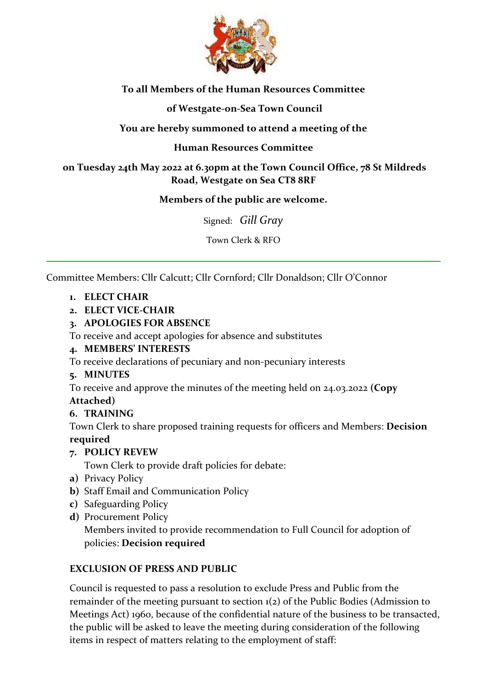

# **To all Members of the Human Resources Committee**

## **of Westgate-on-Sea Town Council**

# **You are hereby summoned to attend a meeting of the**

## **Human Resources Committee**

## **on Tuesday 24th May 2022 at 6.30pm at the Town Council Office, 78 St Mildreds Road, Westgate on Sea CT8 8RF**

### **Members of the public are welcome.**

Signed: *Gill Gray*

Town Clerk & RFO

Committee Members: Cllr Calcutt; Cllr Cornford; Cllr Donaldson; Cllr O'Connor

### **1. ELECT CHAIR**

## **2. ELECT VICE-CHAIR**

**3. APOLOGIES FOR ABSENCE**

To receive and accept apologies for absence and substitutes

## **4. MEMBERS' INTERESTS**

To receive declarations of pecuniary and non-pecuniary interests

### **5. MINUTES**

To receive and approve the minutes of the meeting held on 24.03.2022 **(Copy** 

## **Attached)**

### **6. TRAINING**

Town Clerk to share proposed training requests for officers and Members: **Decision required**

# **7. POLICY REVEW**

Town Clerk to provide draft policies for debate:

- **a)** Privacy Policy
- **b)** Staff Email and Communication Policy
- **c)** Safeguarding Policy
- **d)** Procurement Policy

Members invited to provide recommendation to Full Council for adoption of policies: **Decision required**

### **EXCLUSION OF PRESS AND PUBLIC**

Council is requested to pass a resolution to exclude Press and Public from the remainder of the meeting pursuant to section 1(2) of the Public Bodies (Admission to Meetings Act) 1960, because of the confidential nature of the business to be transacted, the public will be asked to leave the meeting during consideration of the following items in respect of matters relating to the employment of staff: